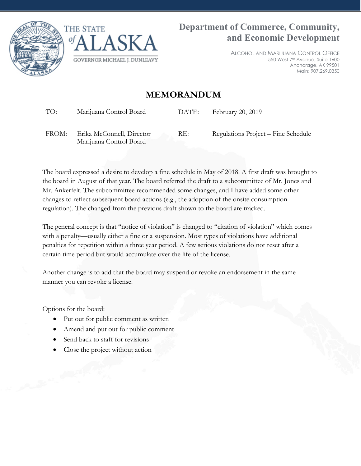



ALCOHOL AND MARIJUANA CONTROL OFFICE 550 West 7th Avenue, Suite 1600 Anchorage, AK 99501 Main: 907.269.0350

#### **MEMORANDUM**

TO: Marijuana Control Board DATE: February 20, 2019

FROM: Erika McConnell, Director Marijuana Control Board

RE: Regulations Project – Fine Schedule

The board expressed a desire to develop a fine schedule in May of 2018. A first draft was brought to the board in August of that year. The board referred the draft to a subcommittee of Mr. Jones and Mr. Ankerfelt. The subcommittee recommended some changes, and I have added some other changes to reflect subsequent board actions (e.g., the adoption of the onsite consumption regulation). The changed from the previous draft shown to the board are tracked.

The general concept is that "notice of violation" is changed to "citation of violation" which comes with a penalty—usually either a fine or a suspension. Most types of violations have additional penalties for repetition within a three year period. A few serious violations do not reset after a certain time period but would accumulate over the life of the license.

Another change is to add that the board may suspend or revoke an endorsement in the same manner you can revoke a license.

Options for the board:

- Put out for public comment as written
- Amend and put out for public comment
- Send back to staff for revisions
- Close the project without action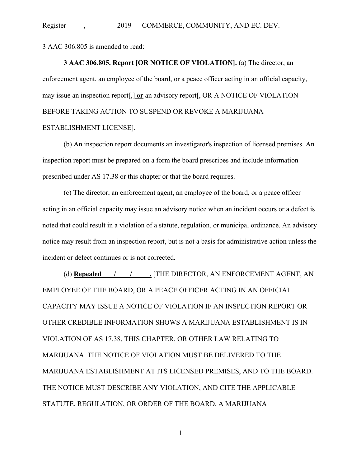3 AAC 306.805 is amended to read:

**3 AAC 306.805. Report [OR NOTICE OF VIOLATION].** (a) The director, an enforcement agent, an employee of the board, or a peace officer acting in an official capacity, may issue an inspection report[,] **or** an advisory report[, OR A NOTICE OF VIOLATION BEFORE TAKING ACTION TO SUSPEND OR REVOKE A MARIJUANA ESTABLISHMENT LICENSE].

(b) An inspection report documents an investigator's inspection of licensed premises. An inspection report must be prepared on a form the board prescribes and include information prescribed under AS 17.38 or this chapter or that the board requires.

(c) The director, an enforcement agent, an employee of the board, or a peace officer acting in an official capacity may issue an advisory notice when an incident occurs or a defect is noted that could result in a violation of a statute, regulation, or municipal ordinance. An advisory notice may result from an inspection report, but is not a basis for administrative action unless the incident or defect continues or is not corrected.

(d) **Repealed / / / \_ .** [THE DIRECTOR, AN ENFORCEMENT AGENT, AN EMPLOYEE OF THE BOARD, OR A PEACE OFFICER ACTING IN AN OFFICIAL CAPACITY MAY ISSUE A NOTICE OF VIOLATION IF AN INSPECTION REPORT OR OTHER CREDIBLE INFORMATION SHOWS A MARIJUANA ESTABLISHMENT IS IN VIOLATION OF AS 17.38, THIS CHAPTER, OR OTHER LAW RELATING TO MARIJUANA. THE NOTICE OF VIOLATION MUST BE DELIVERED TO THE MARIJUANA ESTABLISHMENT AT ITS LICENSED PREMISES, AND TO THE BOARD. THE NOTICE MUST DESCRIBE ANY VIOLATION, AND CITE THE APPLICABLE STATUTE, REGULATION, OR ORDER OF THE BOARD. A MARIJUANA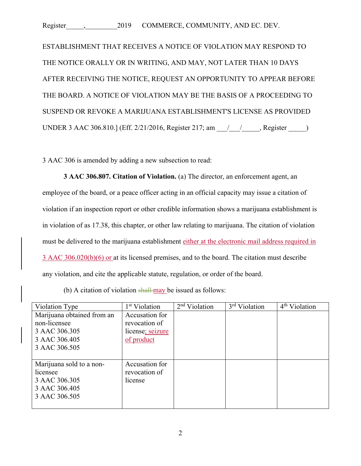ESTABLISHMENT THAT RECEIVES A NOTICE OF VIOLATION MAY RESPOND TO THE NOTICE ORALLY OR IN WRITING, AND MAY, NOT LATER THAN 10 DAYS AFTER RECEIVING THE NOTICE, REQUEST AN OPPORTUNITY TO APPEAR BEFORE THE BOARD. A NOTICE OF VIOLATION MAY BE THE BASIS OF A PROCEEDING TO SUSPEND OR REVOKE A MARIJUANA ESTABLISHMENT'S LICENSE AS PROVIDED UNDER 3 AAC 306.810.] (Eff. 2/21/2016, Register 217; am \_\_\_/\_\_\_/\_\_\_\_\_, Register \_\_\_\_\_)

3 AAC 306 is amended by adding a new subsection to read:

**3 AAC 306.807. Citation of Violation.** (a) The director, an enforcement agent, an employee of the board, or a peace officer acting in an official capacity may issue a citation of violation if an inspection report or other credible information shows a marijuana establishment is in violation of as 17.38, this chapter, or other law relating to marijuana. The citation of violation must be delivered to the marijuana establishment either at the electronic mail address required in 3 AAC 306.020(b)(6) or at its licensed premises, and to the board. The citation must describe any violation, and cite the applicable statute, regulation, or order of the board.

| (b) A citation of violation $\frac{\text{shall} \text{may}}{\text{day}}$ be issued as follows: |
|------------------------------------------------------------------------------------------------|
|------------------------------------------------------------------------------------------------|

| Violation Type             | 1 <sup>st</sup> Violation | $2nd$ Violation | 3 <sup>rd</sup> Violation | 4 <sup>th</sup> Violation |
|----------------------------|---------------------------|-----------------|---------------------------|---------------------------|
| Marijuana obtained from an | Accusation for            |                 |                           |                           |
| non-licensee               | revocation of             |                 |                           |                           |
| 3 AAC 306.305              | license; seizure          |                 |                           |                           |
| 3 AAC 306.405              | of product                |                 |                           |                           |
| 3 AAC 306.505              |                           |                 |                           |                           |
|                            |                           |                 |                           |                           |
| Marijuana sold to a non-   | Accusation for            |                 |                           |                           |
| licensee                   | revocation of             |                 |                           |                           |
| 3 AAC 306.305              | license                   |                 |                           |                           |
| 3 AAC 306.405              |                           |                 |                           |                           |
| 3 AAC 306.505              |                           |                 |                           |                           |
|                            |                           |                 |                           |                           |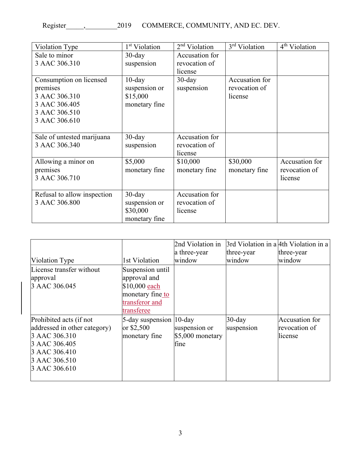| Violation Type              | 1 <sup>st</sup> Violation | $2nd$ Violation | 3 <sup>rd</sup> Violation | 4 <sup>th</sup> Violation |
|-----------------------------|---------------------------|-----------------|---------------------------|---------------------------|
| Sale to minor               | $30$ -day                 | Accusation for  |                           |                           |
| 3 AAC 306.310               | suspension                | revocation of   |                           |                           |
|                             |                           | license         |                           |                           |
| Consumption on licensed     | $10$ -day                 | $30$ -day       | Accusation for            |                           |
| premises                    | suspension or             | suspension      | revocation of             |                           |
| 3 AAC 306.310               | \$15,000                  |                 | license                   |                           |
| 3 AAC 306.405               | monetary fine             |                 |                           |                           |
| 3 AAC 306.510               |                           |                 |                           |                           |
| 3 AAC 306.610               |                           |                 |                           |                           |
|                             |                           |                 |                           |                           |
| Sale of untested marijuana  | $30$ -day                 | Accusation for  |                           |                           |
| 3 AAC 306.340               | suspension                | revocation of   |                           |                           |
|                             |                           | license         |                           |                           |
| Allowing a minor on         | \$5,000                   | \$10,000        | \$30,000                  | Accusation for            |
| premises                    | monetary fine             | monetary fine   | monetary fine             | revocation of             |
| 3 AAC 306.710               |                           |                 |                           | license                   |
|                             |                           |                 |                           |                           |
| Refusal to allow inspection | $30$ -day                 | Accusation for  |                           |                           |
| 3 AAC 306.800               | suspension or             | revocation of   |                           |                           |
|                             | \$30,000                  | license         |                           |                           |
|                             |                           |                 |                           |                           |

|                                                                                                       | 2nd Violation in |                                                                        |                                                                   |
|-------------------------------------------------------------------------------------------------------|------------------|------------------------------------------------------------------------|-------------------------------------------------------------------|
|                                                                                                       | a three-year     |                                                                        | three-year                                                        |
| 1st Violation                                                                                         | window           | window                                                                 | window                                                            |
| Suspension until<br>approval and<br>\$10,000 each<br>monetary fine to<br>transferor and<br>transferee |                  |                                                                        |                                                                   |
| or $$2,500$<br>monetary fine                                                                          |                  | $30$ -day                                                              | Accusation for<br>revocation of<br>license                        |
|                                                                                                       |                  | 5-day suspension  10-day<br>suspension or<br>$$5,000$ monetary<br>fine | 3rd Violation in a 4th Violation in a<br>three-year<br>suspension |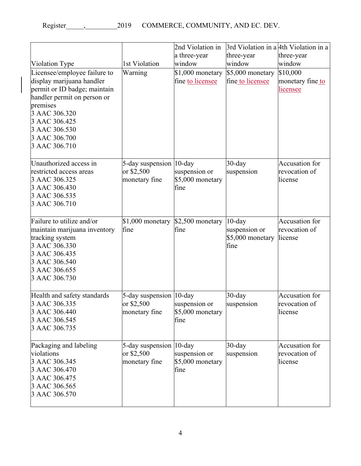|                                                                                                                                                                                                                           |                                                         | 2nd Violation in                          |                                                        | 3rd Violation in a 4th Violation in a             |
|---------------------------------------------------------------------------------------------------------------------------------------------------------------------------------------------------------------------------|---------------------------------------------------------|-------------------------------------------|--------------------------------------------------------|---------------------------------------------------|
|                                                                                                                                                                                                                           |                                                         | a three-year                              | three-year                                             | three-year                                        |
| Violation Type                                                                                                                                                                                                            | 1st Violation                                           | window                                    | window                                                 | window                                            |
| Licensee/employee failure to<br>display marijuana handler<br>permit or ID badge; maintain<br>handler permit on person or<br>premises<br>3 AAC 306.320<br>3 AAC 306.425<br>3 AAC 306.530<br>3 AAC 306.700<br>3 AAC 306.710 | Warning                                                 | \$1,000 monetary<br>fine to licensee      | \$5,000 monetary<br>fine to licensee                   | \$10,000<br>monetary fine to<br>licensee          |
| Unauthorized access in<br>restricted access areas<br>3 AAC 306.325<br>3 AAC 306.430<br>3 AAC 306.535<br>3 AAC 306.710                                                                                                     | 5-day suspension 10-day<br>or \$2,500<br>monetary fine  | suspension or<br>\$5,000 monetary<br>fine | $30$ -day<br>suspension                                | Accusation for<br>revocation of<br>license        |
| Failure to utilize and/or<br>maintain marijuana inventory<br>tracking system<br>3 AAC 306.330<br>3 AAC 306.435<br>3 AAC 306.540<br>3 AAC 306.655<br>3 AAC 306.730                                                         | $$1,000$ monetary<br>fine                               | \$2,500 monetary<br>fine                  | $10$ -day<br>suspension or<br>\$5,000 monetary<br>fine | Accusation for<br>revocation of<br>license        |
| Health and safety standards<br>3 AAC 306.335<br>3 AAC 306.440<br>3 AAC 306.545<br>3 AAC 306.735                                                                                                                           | 5-day suspension  10-day<br>or \$2,500<br>monetary fine | suspension or<br>\$5,000 monetary<br>fine | $30$ -day<br>suspension                                | Accusation for<br>revocation of<br>license        |
| Packaging and labeling<br>violations<br>3 AAC 306.345<br>3 AAC 306.470<br>3 AAC 306.475<br>3 AAC 306.565<br>3 AAC 306.570                                                                                                 | 5-day suspension  10-day<br>or \$2,500<br>monetary fine | suspension or<br>\$5,000 monetary<br>fine | $30$ -day<br>suspension                                | <b>Accusation</b> for<br>revocation of<br>license |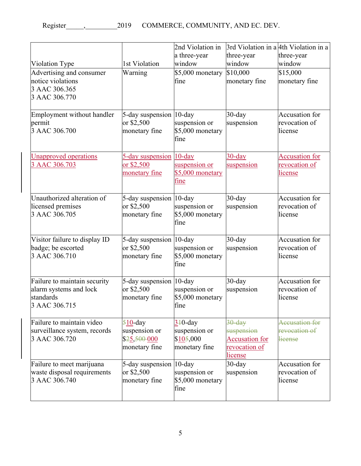|                                                                                      |                                                            | 2nd Violation in                                          | 3rd Violation in a 4th Violation in a                                               |                                                          |
|--------------------------------------------------------------------------------------|------------------------------------------------------------|-----------------------------------------------------------|-------------------------------------------------------------------------------------|----------------------------------------------------------|
|                                                                                      |                                                            | a three-year                                              | three-year                                                                          | three-year                                               |
| Violation Type                                                                       | 1st Violation                                              | window                                                    | window                                                                              | window                                                   |
| Advertising and consumer<br>notice violations<br>3 AAC 306.365<br>3 AAC 306.770      | Warning                                                    | \$5,000 monetary<br>fine                                  | \$10,000<br>monetary fine                                                           | \$15,000<br>monetary fine                                |
| Employment without handler<br>permit<br>3 AAC 306.700                                | 5-day suspension 10-day<br>or \$2,500<br>monetary fine     | suspension or<br>\$5,000 monetary<br>fine                 | $30$ -day<br>suspension                                                             | Accusation for<br>revocation of<br>license               |
| <b>Unapproved operations</b><br>3 AAC 306.703                                        | 5-day suspension<br>or \$2,500<br>monetary fine            | $10$ -day<br>suspension or<br>\$5,000 monetary<br>fine    | $30$ -day<br>suspension                                                             | <b>Accusation for</b><br>revocation of<br><u>license</u> |
| Unauthorized alteration of<br>licensed premises<br>3 AAC 306.705                     | 5-day suspension  10-day<br>or \$2,500<br>monetary fine    | suspension or<br>\$5,000 monetary<br>fine                 | $30$ -day<br>suspension                                                             | Accusation for<br>revocation of<br>license               |
| Visitor failure to display ID<br>badge; be escorted<br>3 AAC 306.710                 | 5-day suspension  10-day<br>or \$2,500<br>monetary fine    | suspension or<br>\$5,000 monetary<br>fine                 | $30$ -day<br>suspension                                                             | Accusation for<br>revocation of<br>license               |
| Failure to maintain security<br>alarm systems and lock<br>standards<br>3 AAC 306.715 | 5-day suspension<br>or \$2,500<br>monetary fine            | $10$ -day<br>suspension or<br>\$5,000 monetary<br>fine    | $30$ -day<br>suspension                                                             | Accusation for<br>revocation of<br>license               |
| Failure to maintain video<br>surveillance system, records<br>3 AAC 306.720           | $510$ -day<br>suspension or<br>\$25,50000<br>monetary fine | $3+0$ -day<br>suspension or<br>\$105,000<br>monetary fine | $30$ -day<br>suspension<br><b>Accusation for</b><br>revocation of<br><u>license</u> | Accusation for<br>revocation of<br>license               |
| Failure to meet marijuana<br>waste disposal requirements<br>3 AAC 306.740            | 5-day suspension 10-day<br>or \$2,500<br>monetary fine     | suspension or<br>\$5,000 monetary<br>fine                 | $30$ -day<br>suspension                                                             | Accusation for<br>revocation of<br>license               |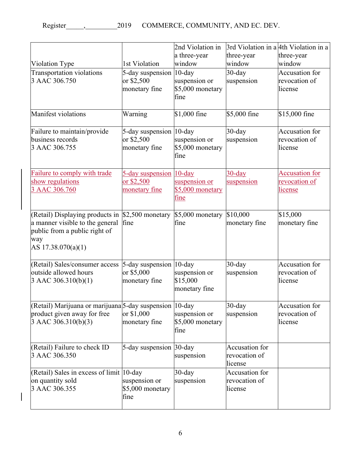|                                                                                                                                  |                                                         | 2nd Violation in                           | 3rd Violation in a 4th Violation in a             |                                                          |
|----------------------------------------------------------------------------------------------------------------------------------|---------------------------------------------------------|--------------------------------------------|---------------------------------------------------|----------------------------------------------------------|
|                                                                                                                                  |                                                         | a three-year                               | three-year                                        | three-year                                               |
| Violation Type                                                                                                                   | 1st Violation                                           | window                                     | window                                            | window                                                   |
| Transportation violations<br>3 AAC 306.750                                                                                       | 5-day suspension 10-day<br>or \$2,500<br>monetary fine  | suspension or<br>\$5,000 monetary<br>fine  | $30$ -day<br>suspension                           | Accusation for<br>revocation of<br>license               |
| Manifest violations                                                                                                              | Warning                                                 | $$1,000$ fine                              | \$5,000 fine                                      | \$15,000 fine                                            |
| Failure to maintain/provide<br>business records<br>3 AAC 306.755                                                                 | 5-day suspension 10-day<br>or \$2,500<br>monetary fine  | suspension or<br>\$5,000 monetary<br>fine  | $30$ -day<br>suspension                           | Accusation for<br>revocation of<br>license               |
| Failure to comply with trade<br>show regulations<br>3 AAC 306.760                                                                | 5-day suspension 10-day<br>or \$2,500<br>monetary fine  | suspension or<br>\$5,000 monetary<br>fine  | <u>30-day</u><br>suspension                       | <b>Accusation for</b><br>revocation of<br><u>license</u> |
| (Retail) Displaying products in<br>a manner visible to the general<br>public from a public right of<br>way<br>AS 17.38.070(a)(1) | \$2,500 monetary<br>fine                                | \$5,000 monetary<br>fine                   | \$10,000<br>monetary fine                         | \$15,000<br>monetary fine                                |
| (Retail) Sales/consumer access<br>outside allowed hours<br>$3$ AAC 306.310(b)(1)                                                 | 5-day suspension  10-day<br>or \$5,000<br>monetary fine | suspension or<br>\$15,000<br>monetary fine | $30$ -day<br>suspension                           | Accusation for<br>revocation of<br>license               |
| (Retail) Marijuana or marijuana 5-day suspension 10-day<br>product given away for free<br>$3$ AAC 306.310(b)(3)                  | or \$1,000<br>monetary fine                             | suspension or<br>\$5,000 monetary<br>fine  | $30$ -day<br>suspension                           | Accusation for<br>revocation of<br>license               |
| (Retail) Failure to check ID<br>3 AAC 306.350                                                                                    | 5-day suspension 30-day                                 | suspension                                 | <b>Accusation</b> for<br>revocation of<br>license |                                                          |
| (Retail) Sales in excess of limit 10-day<br>on quantity sold<br>3 AAC 306.355                                                    | suspension or<br>\$5,000 monetary<br>fine               | $30$ -day<br>suspension                    | Accusation for<br>revocation of<br>license        |                                                          |

 $\begin{array}{c} \rule{0pt}{2.5ex} \rule{0pt}{2.5ex} \rule{0pt}{2.5ex} \rule{0pt}{2.5ex} \rule{0pt}{2.5ex} \rule{0pt}{2.5ex} \rule{0pt}{2.5ex} \rule{0pt}{2.5ex} \rule{0pt}{2.5ex} \rule{0pt}{2.5ex} \rule{0pt}{2.5ex} \rule{0pt}{2.5ex} \rule{0pt}{2.5ex} \rule{0pt}{2.5ex} \rule{0pt}{2.5ex} \rule{0pt}{2.5ex} \rule{0pt}{2.5ex} \rule{0pt}{2.5ex} \rule{0pt}{2.5ex} \rule{0$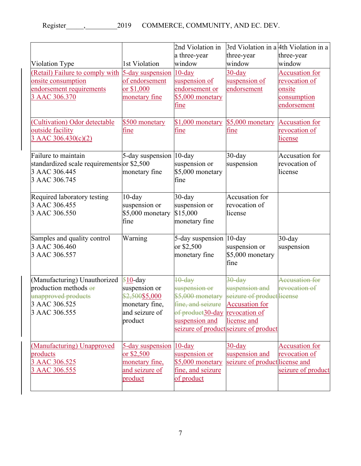|                                            |                         | 2nd Violation in               | 3rd Violation in a 4th Violation in a |                       |
|--------------------------------------------|-------------------------|--------------------------------|---------------------------------------|-----------------------|
|                                            |                         | a three-year                   | three-year                            | three-year            |
| Violation Type                             | 1st Violation           | window                         | window                                | window                |
| (Retail) Failure to comply with            | 5-day suspension        | $10$ -day                      | $30$ -day                             | <b>Accusation</b> for |
| onsite consumption                         | of endorsement          | suspension of                  | suspension of                         | revocation of         |
| endorsement requirements                   | or \$1,000              | endorsement or                 | endorsement                           | onsite                |
| 3 AAC 306.370                              | monetary fine           | \$5,000 monetary               |                                       | consumption           |
|                                            |                         | <u>fine</u>                    |                                       | endorsement           |
| Cultivation) Odor detectable               | \$500 monetary          | $$1,000$ monetary              | \$5,000 monetary                      | <b>Accusation for</b> |
| outside facility                           | fine                    | fine                           | fine                                  | revocation of         |
| 3 AAC 306.430(c)(2)                        |                         |                                |                                       | license               |
|                                            |                         |                                |                                       |                       |
| Failure to maintain                        | 5-day suspension 10-day |                                | $30$ -day                             | Accusation for        |
| standardized scale requirements or \$2,500 |                         | suspension or                  | suspension                            | revocation of         |
| 3 AAC 306.445                              | monetary fine           | \$5,000 monetary               |                                       | license               |
| 3 AAC 306.745                              |                         | fine                           |                                       |                       |
| Required laboratory testing                | $10$ -day               | $30$ -day                      | Accusation for                        |                       |
| 3 AAC 306.455                              | suspension or           | suspension or                  | revocation of                         |                       |
| 3 AAC 306.550                              | \$5,000 monetary        | \$15,000                       | license                               |                       |
|                                            | fine                    | monetary fine                  |                                       |                       |
|                                            |                         |                                |                                       |                       |
| Samples and quality control                | Warning                 | 5-day suspension 10-day        |                                       | $30$ -day             |
| 3 AAC 306.460                              |                         | or \$2,500                     | suspension or                         | suspension            |
| 3 AAC 306.557                              |                         | monetary fine                  | \$5,000 monetary                      |                       |
|                                            |                         |                                | fine                                  |                       |
| (Manufacturing) Unauthorized               | $510$ -day              | $10$ -day                      | $30$ -day                             | <b>Accusation for</b> |
| production methods $\Theta$ <b>F</b>       | suspension or           | suspension or                  | suspension and                        | revocation of         |
| unapproved products                        | \$2,500\$5,000          | \$5,000 monetary               | seizure of product license            |                       |
| 3 AAC 306.525                              | monetary fine,          | fine, and seizure              | <b>Accusation for</b>                 |                       |
| 3 AAC 306.555                              | and seizure of          | of product30-day revocation of |                                       |                       |
|                                            | product                 | suspension and                 | license and                           |                       |
|                                            |                         |                                | seizure of product seizure of product |                       |
| (Manufacturing) Unapproved                 | 5-day suspension 10-day |                                | $30$ -day                             | <b>Accusation for</b> |
| products                                   | or \$2,500              | suspension or                  | suspension and                        | revocation of         |
| 3 AAC 306.525                              | monetary fine,          | \$5,000 monetary               | seizure of product license and        |                       |
| 3 AAC 306.555                              | and seizure of          | fine, and seizure              |                                       | seizure of product    |
|                                            | product                 | of product                     |                                       |                       |
|                                            |                         |                                |                                       |                       |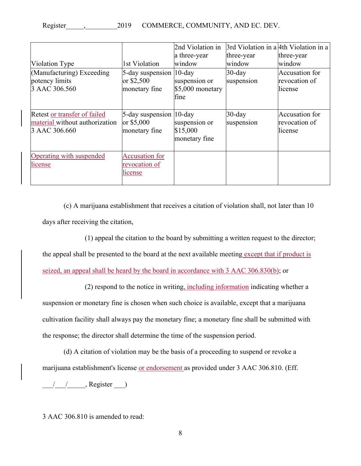| Violation Type                                                                  | 1st Violation                                            | 2nd Violation in<br>a three-year<br>window              | 3rd Violation in a 4th Violation in a<br>three-year<br>window | three-year<br>window                       |
|---------------------------------------------------------------------------------|----------------------------------------------------------|---------------------------------------------------------|---------------------------------------------------------------|--------------------------------------------|
| (Manufacturing) Exceeding<br>potency limits<br>3 AAC 306.560                    | 5-day suspension<br>or $$2,500$<br>monetary fine         | $10$ -day<br>suspension or<br>\$5,000 monetary<br>fine  | $30$ -day<br>suspension                                       | Accusation for<br>revocation of<br>license |
| Retest or transfer of failed<br>material without authorization<br>3 AAC 306.660 | 5-day suspension<br>or \$5,000<br>monetary fine          | $10$ -day<br>suspension or<br>\$15,000<br>monetary fine | $30$ -day<br>suspension                                       | Accusation for<br>revocation of<br>license |
| Operating with suspended<br>license                                             | <b>Accusation for</b><br><u>revocation of</u><br>license |                                                         |                                                               |                                            |

(c) A marijuana establishment that receives a citation of violation shall, not later than 10 days after receiving the citation,

(1) appeal the citation to the board by submitting a written request to the director;

the appeal shall be presented to the board at the next available meeting except that if product is

seized, an appeal shall be heard by the board in accordance with 3 AAC 306.830(b); or

(2) respond to the notice in writing, including information indicating whether a suspension or monetary fine is chosen when such choice is available, except that a marijuana cultivation facility shall always pay the monetary fine; a monetary fine shall be submitted with the response; the director shall determine the time of the suspension period.

(d) A citation of violation may be the basis of a proceeding to suspend or revoke a marijuana establishment's license or endorsement as provided under 3 AAC 306.810. (Eff.

 $\frac{1}{2}$  /  $\frac{1}{2}$ , Register  $\frac{1}{2}$ 

3 AAC 306.810 is amended to read: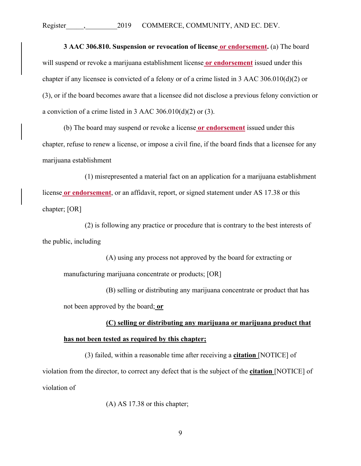**3 AAC 306.810. Suspension or revocation of license or endorsement.** (a) The board will suspend or revoke a marijuana establishment license **or endorsement** issued under this chapter if any licensee is convicted of a felony or of a crime listed in 3 AAC 306.010(d)(2) or (3), or if the board becomes aware that a licensee did not disclose a previous felony conviction or a conviction of a crime listed in 3 AAC 306.010(d)(2) or (3).

(b) The board may suspend or revoke a license **or endorsement** issued under this chapter, refuse to renew a license, or impose a civil fine, if the board finds that a licensee for any marijuana establishment

(1) misrepresented a material fact on an application for a marijuana establishment license **or endorsement**, or an affidavit, report, or signed statement under AS 17.38 or this chapter; [OR]

(2) is following any practice or procedure that is contrary to the best interests of the public, including

(A) using any process not approved by the board for extracting or manufacturing marijuana concentrate or products; [OR]

(B) selling or distributing any marijuana concentrate or product that has not been approved by the board; **or**

**(C) selling or distributing any marijuana or marijuana product that has not been tested as required by this chapter;** 

(3) failed, within a reasonable time after receiving a **citation** [NOTICE] of violation from the director, to correct any defect that is the subject of the **citation** [NOTICE] of violation of

(A) AS 17.38 or this chapter;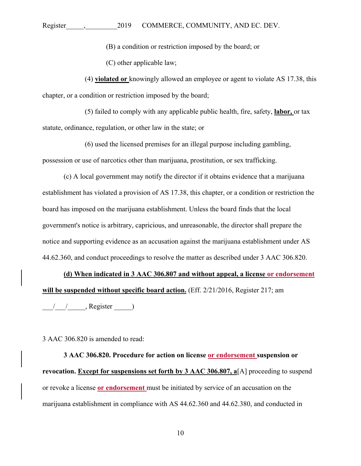(B) a condition or restriction imposed by the board; or

(C) other applicable law;

(4) **violated or** knowingly allowed an employee or agent to violate AS 17.38, this chapter, or a condition or restriction imposed by the board;

(5) failed to comply with any applicable public health, fire, safety, **labor,** or tax statute, ordinance, regulation, or other law in the state; or

(6) used the licensed premises for an illegal purpose including gambling, possession or use of narcotics other than marijuana, prostitution, or sex trafficking.

(c) A local government may notify the director if it obtains evidence that a marijuana establishment has violated a provision of AS 17.38, this chapter, or a condition or restriction the board has imposed on the marijuana establishment. Unless the board finds that the local government's notice is arbitrary, capricious, and unreasonable, the director shall prepare the notice and supporting evidence as an accusation against the marijuana establishment under AS 44.62.360, and conduct proceedings to resolve the matter as described under 3 AAC 306.820.

**(d) When indicated in 3 AAC 306.807 and without appeal, a license or endorsement will be suspended without specific board action.** (Eff. 2/21/2016, Register 217; am

 $\frac{1}{2}$   $\frac{1}{2}$ , Register  $\frac{1}{2}$ 

3 AAC 306.820 is amended to read:

**3 AAC 306.820. Procedure for action on license or endorsement suspension or revocation. Except for suspensions set forth by 3 AAC 306.807, a**[A] proceeding to suspend or revoke a license **or endorsement** must be initiated by service of an accusation on the marijuana establishment in compliance with AS 44.62.360 and 44.62.380, and conducted in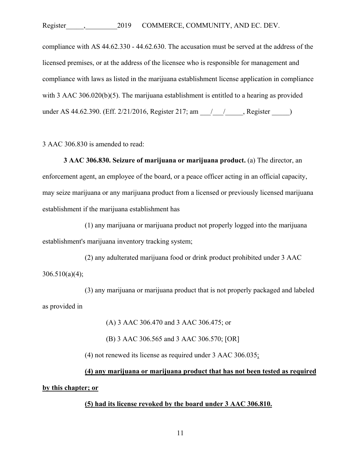compliance with AS 44.62.330 - 44.62.630. The accusation must be served at the address of the licensed premises, or at the address of the licensee who is responsible for management and compliance with laws as listed in the marijuana establishment license application in compliance with 3 AAC 306.020(b)(5). The marijuana establishment is entitled to a hearing as provided under AS 44.62.390. (Eff. 2/21/2016, Register 217; am \_\_\_/\_\_\_\_/\_\_\_\_, Register \_\_\_\_\_)

3 AAC 306.830 is amended to read:

**3 AAC 306.830. Seizure of marijuana or marijuana product.** (a) The director, an enforcement agent, an employee of the board, or a peace officer acting in an official capacity, may seize marijuana or any marijuana product from a licensed or previously licensed marijuana establishment if the marijuana establishment has

(1) any marijuana or marijuana product not properly logged into the marijuana establishment's marijuana inventory tracking system;

(2) any adulterated marijuana food or drink product prohibited under 3 AAC 306.510(a)(4);

(3) any marijuana or marijuana product that is not properly packaged and labeled as provided in

(A) 3 AAC 306.470 and 3 AAC 306.475; or

(B) 3 AAC 306.565 and 3 AAC 306.570; [OR]

(4) not renewed its license as required under 3 AAC 306.035;

**(4) any marijuana or marijuana product that has not been tested as required by this chapter; or** 

#### **(5) had its license revoked by the board under 3 AAC 306.810.**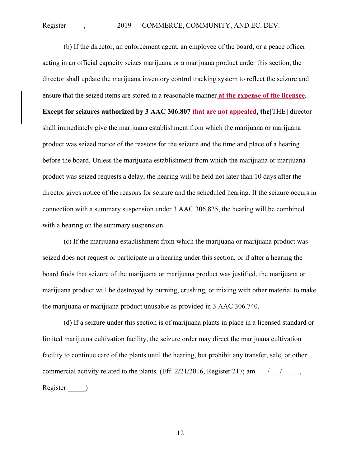(b) If the director, an enforcement agent, an employee of the board, or a peace officer acting in an official capacity seizes marijuana or a marijuana product under this section, the director shall update the marijuana inventory control tracking system to reflect the seizure and ensure that the seized items are stored in a reasonable manner **at the expense of the licensee**. **Except for seizures authorized by 3 AAC 306.807 that are not appealed, the**[THE] director shall immediately give the marijuana establishment from which the marijuana or marijuana product was seized notice of the reasons for the seizure and the time and place of a hearing before the board. Unless the marijuana establishment from which the marijuana or marijuana product was seized requests a delay, the hearing will be held not later than 10 days after the director gives notice of the reasons for seizure and the scheduled hearing. If the seizure occurs in connection with a summary suspension under 3 AAC 306.825, the hearing will be combined with a hearing on the summary suspension.

(c) If the marijuana establishment from which the marijuana or marijuana product was seized does not request or participate in a hearing under this section, or if after a hearing the board finds that seizure of the marijuana or marijuana product was justified, the marijuana or marijuana product will be destroyed by burning, crushing, or mixing with other material to make the marijuana or marijuana product unusable as provided in 3 AAC 306.740.

(d) If a seizure under this section is of marijuana plants in place in a licensed standard or limited marijuana cultivation facility, the seizure order may direct the marijuana cultivation facility to continue care of the plants until the hearing, but prohibit any transfer, sale, or other commercial activity related to the plants. (Eff.  $2/21/2016$ , Register 217; am  $\frac{1}{\sqrt{2}}$ , Register \_\_\_\_\_)